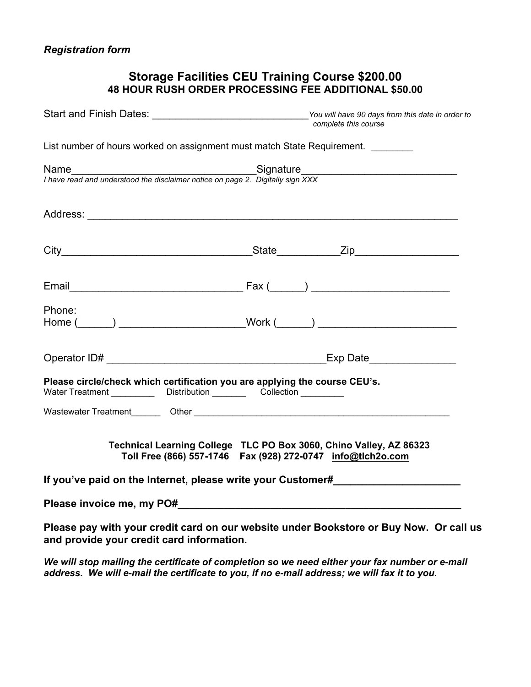# **Storage Facilities CEU Training Course \$200.00 48 HOUR RUSH ORDER PROCESSING FEE ADDITIONAL \$50.00**

|                                                                                                                                                           | Start and Finish Dates: ___________________________________You will have 90 days from this date in order to<br>complete this course |  |  |  |  |
|-----------------------------------------------------------------------------------------------------------------------------------------------------------|-------------------------------------------------------------------------------------------------------------------------------------|--|--|--|--|
| List number of hours worked on assignment must match State Requirement.                                                                                   |                                                                                                                                     |  |  |  |  |
| I have read and understood the disclaimer notice on page 2. Digitally sign XXX                                                                            |                                                                                                                                     |  |  |  |  |
|                                                                                                                                                           |                                                                                                                                     |  |  |  |  |
|                                                                                                                                                           |                                                                                                                                     |  |  |  |  |
|                                                                                                                                                           |                                                                                                                                     |  |  |  |  |
| Phone:                                                                                                                                                    | Home (______) ________________________Work (______) ____________________________                                                    |  |  |  |  |
|                                                                                                                                                           |                                                                                                                                     |  |  |  |  |
| Please circle/check which certification you are applying the course CEU's.<br>Water Treatment _____________ Distribution __________ Collection __________ |                                                                                                                                     |  |  |  |  |
| Technical Learning College TLC PO Box 3060, Chino Valley, AZ 86323<br>Toll Free (866) 557-1746  Fax (928) 272-0747  info@tlch2o.com                       |                                                                                                                                     |  |  |  |  |
| If you've paid on the Internet, please write your Customer#                                                                                               |                                                                                                                                     |  |  |  |  |
|                                                                                                                                                           |                                                                                                                                     |  |  |  |  |
| and provide your credit card information.                                                                                                                 | Please pay with your credit card on our website under Bookstore or Buy Now. Or call us                                              |  |  |  |  |

*We will stop mailing the certificate of completion so we need either your fax number or e-mail address. We will e-mail the certificate to you, if no e-mail address; we will fax it to you.*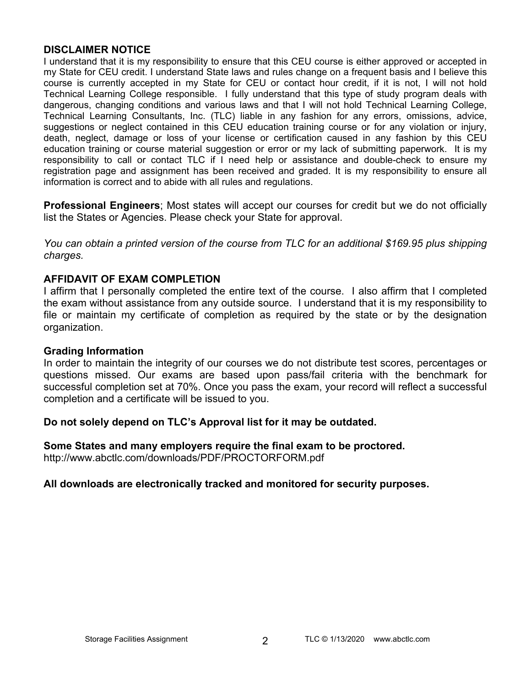# **DISCLAIMER NOTICE**

I understand that it is my responsibility to ensure that this CEU course is either approved or accepted in my State for CEU credit. I understand State laws and rules change on a frequent basis and I believe this course is currently accepted in my State for CEU or contact hour credit, if it is not, I will not hold Technical Learning College responsible. I fully understand that this type of study program deals with dangerous, changing conditions and various laws and that I will not hold Technical Learning College, Technical Learning Consultants, Inc. (TLC) liable in any fashion for any errors, omissions, advice, suggestions or neglect contained in this CEU education training course or for any violation or injury, death, neglect, damage or loss of your license or certification caused in any fashion by this CEU education training or course material suggestion or error or my lack of submitting paperwork. It is my responsibility to call or contact TLC if I need help or assistance and double-check to ensure my registration page and assignment has been received and graded. It is my responsibility to ensure all information is correct and to abide with all rules and regulations.

**Professional Engineers**; Most states will accept our courses for credit but we do not officially list the States or Agencies. Please check your State for approval.

*You can obtain a printed version of the course from TLC for an additional \$169.95 plus shipping charges.* 

# **AFFIDAVIT OF EXAM COMPLETION**

I affirm that I personally completed the entire text of the course. I also affirm that I completed the exam without assistance from any outside source. I understand that it is my responsibility to file or maintain my certificate of completion as required by the state or by the designation organization.

# **Grading Information**

In order to maintain the integrity of our courses we do not distribute test scores, percentages or questions missed. Our exams are based upon pass/fail criteria with the benchmark for successful completion set at 70%. Once you pass the exam, your record will reflect a successful completion and a certificate will be issued to you.

# **Do not solely depend on TLC's Approval list for it may be outdated.**

**Some States and many employers require the final exam to be proctored.**  <http://www.abctlc.com/downloads/PDF/PROCTORFORM.pdf>

# **All downloads are electronically tracked and monitored for security purposes.**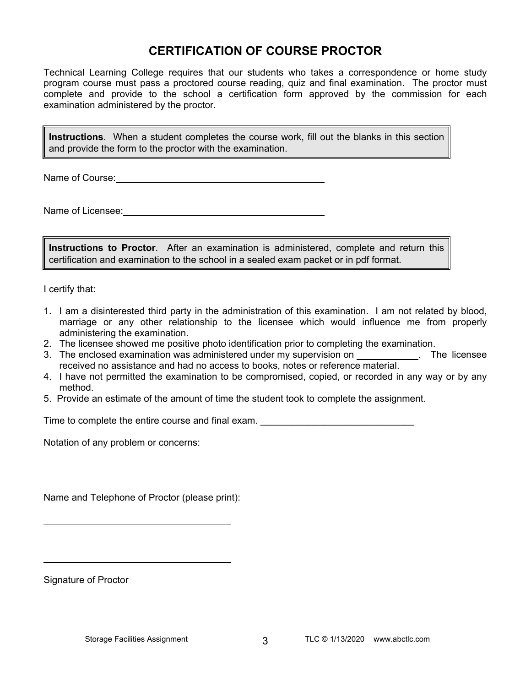# **CERTIFICATION OF COURSE PROCTOR**

Technical Learning College requires that our students who takes a correspondence or home study program course must pass a proctored course reading, quiz and final examination. The proctor must complete and provide to the school a certification form approved by the commission for each examination administered by the proctor.

**Instructions**. When a student completes the course work, fill out the blanks in this section and provide the form to the proctor with the examination.

Name of Course:  $\blacksquare$ 

Name of Licensee:

**Instructions to Proctor**. After an examination is administered, complete and return this certification and examination to the school in a sealed exam packet or in pdf format.

I certify that:

- 1. I am a disinterested third party in the administration of this examination. I am not related by blood, marriage or any other relationship to the licensee which would influence me from properly administering the examination.
- 2. The licensee showed me positive photo identification prior to completing the examination.
- 3. The enclosed examination was administered under my supervision on . The licensee received no assistance and had no access to books, notes or reference material.
- 4. I have not permitted the examination to be compromised, copied, or recorded in any way or by any method.
- 5. Provide an estimate of the amount of time the student took to complete the assignment.

Time to complete the entire course and final exam. \_\_\_\_\_\_\_\_\_\_\_\_\_\_\_\_\_\_\_\_\_\_\_\_\_\_\_\_\_

Notation of any problem or concerns:

Name and Telephone of Proctor (please print):

Signature of Proctor

 $\overline{a}$ 

 $\overline{a}$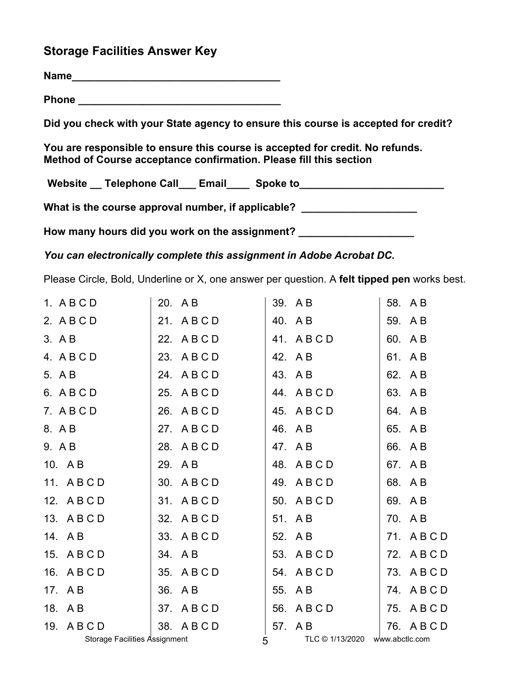# **Storage Facilities Answer Key**

**Name\_\_\_\_\_\_\_\_\_\_\_\_\_\_\_\_\_\_\_\_\_\_\_\_\_\_\_\_\_\_\_\_\_\_\_\_**

**Phone \_\_\_\_\_\_\_\_\_\_\_\_\_\_\_\_\_\_\_\_\_\_\_\_\_\_\_\_\_\_\_\_\_\_\_** 

**Did you check with your State agency to ensure this course is accepted for credit?** 

**You are responsible to ensure this course is accepted for credit. No refunds. Method of Course acceptance confirmation. Please fill this section** 

Website \_\_ Telephone Call \_\_ Email \_\_\_ Spoke to \_\_\_\_\_\_\_\_\_\_\_\_\_\_\_\_\_\_\_\_\_\_\_\_\_\_\_\_\_\_\_\_

What is the course approval number, if applicable?

**How many hours did you work on the assignment? \_\_\_\_\_\_\_\_\_\_\_\_\_\_\_\_\_\_\_\_**

*You can electronically complete this assignment in Adobe Acrobat DC.* 

Please Circle, Bold, Underline or X, one answer per question. A **felt tipped pen** works best.

| 1. ABCD                              | 20. AB      | 39. AB                              | 58. AB      |
|--------------------------------------|-------------|-------------------------------------|-------------|
| 2. ABCD                              | 21. ABCD    | 40. AB                              | 59. AB      |
| 3. A B                               | 22. A B C D | 41. ABCD                            | 60. AB      |
| 4. ABCD                              | 23. ABCD    | 42. AB                              | 61. AB      |
| 5. A B                               | 24. ABCD    | 43. AB                              | 62. A B     |
| 6. ABCD                              | 25. ABCD    | 44. ABCD                            | 63. AB      |
| 7. ABCD                              | 26. ABCD    | 45. ABCD                            | 64. AB      |
| 8. AB                                | 27. ABCD    | 46. AB                              | 65. AB      |
| 9. A B                               | 28. ABCD    | 47. AB                              | 66. AB      |
| 10. AB                               | 29. AB      | 48. ABCD                            | 67. AB      |
| 11. ABCD                             | 30. A B C D | 49. ABCD                            | 68. AB      |
| 12. A B C D                          | 31. ABCD    | 50. A B C D                         | 69. AB      |
| 13. A B C D                          | 32. A B C D | 51. AB                              | 70. AB      |
| 14. AB                               | 33. A B C D | 52. AB                              | 71. ABCD    |
| 15. A B C D                          | 34. AB      | 53. A B C D                         | 72. ABCD    |
| 16. A B C D                          | 35. A B C D | 54. ABCD                            | 73. ABCD    |
| 17. AB                               | 36. AB      | 55. AB                              | 74. ABCD    |
| 18. AB                               | 37. ABCD    | 56. ABCD                            | 75. ABCD    |
| 19. ABCD                             | 38. ABCD    | 57. AB                              | 76. A B C D |
| <b>Storage Facilities Assignment</b> |             | TLC © 1/13/2020 www.abctlc.com<br>5 |             |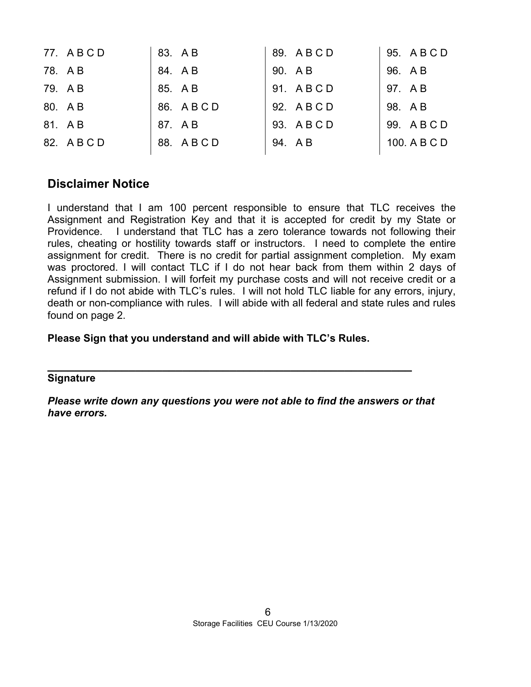| 77. ABCD    | 83. AB   | 89. ABCD    | 95. A B C D  |
|-------------|----------|-------------|--------------|
| 78. AB      | 84. AB   | 90. AB      | 96. A B      |
| 79. AB      | 85. A B  | 91. ABCD    | 97. AB       |
| 80. AB      | 86. ABCD | 92. A B C D | 98. AB       |
| 81. AB      | 87. AB   | 93. ABCD    | 99. ABCD     |
| 82. A B C D | 88. ABCD | 94. AB      | 100. A B C D |

# **Disclaimer Notice**

I understand that I am 100 percent responsible to ensure that TLC receives the Assignment and Registration Key and that it is accepted for credit by my State or Providence. I understand that TLC has a zero tolerance towards not following their rules, cheating or hostility towards staff or instructors. I need to complete the entire assignment for credit. There is no credit for partial assignment completion. My exam was proctored. I will contact TLC if I do not hear back from them within 2 days of Assignment submission. I will forfeit my purchase costs and will not receive credit or a refund if I do not abide with TLC's rules. I will not hold TLC liable for any errors, injury, death or non-compliance with rules. I will abide with all federal and state rules and rules found on page 2.

# **Please Sign that you understand and will abide with TLC's Rules.**

# **Signature**

*Please write down any questions you were not able to find the answers or that have errors.* 

**\_\_\_\_\_\_\_\_\_\_\_\_\_\_\_\_\_\_\_\_\_\_\_\_\_\_\_\_\_\_\_\_\_\_\_\_\_\_\_\_\_\_\_\_\_\_\_\_\_\_\_\_\_\_**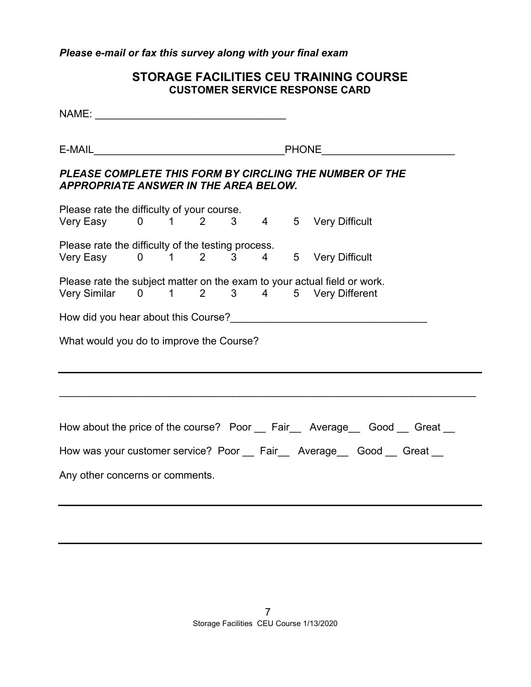# *Please e-mail or fax this survey along with your final exam*

# **STORAGE FACILITIES CEU TRAINING COURSE CUSTOMER SERVICE RESPONSE CARD**

NAME: \_\_\_\_\_\_\_\_\_\_\_\_\_\_\_\_\_\_\_\_\_\_\_\_\_\_\_\_\_\_\_\_\_  $E\text{-} \textsf{MAL}$  . The set of the set of the set of the set of the set of the set of the set of the set of the set of the set of the set of the set of the set of the set of the set of the set of the set of the set of the set *PLEASE COMPLETE THIS FORM BY CIRCLING THE NUMBER OF THE APPROPRIATE ANSWER IN THE AREA BELOW.*  Please rate the difficulty of your course. Very Easy 0 1 2 3 4 5 Very Difficult Please rate the difficulty of the testing process. Very Easy 0 1 2 3 4 5 Very Difficult Please rate the subject matter on the exam to your actual field or work. Very Similar 0 1 2 3 4 5 Very Different How did you hear about this Course?\_\_\_\_\_\_\_\_\_\_\_\_\_\_\_\_\_\_\_\_\_\_\_\_\_\_\_\_\_\_\_\_\_\_ What would you do to improve the Course?  $\mathcal{L}_\mathcal{L} = \mathcal{L}_\mathcal{L} = \mathcal{L}_\mathcal{L} = \mathcal{L}_\mathcal{L} = \mathcal{L}_\mathcal{L} = \mathcal{L}_\mathcal{L} = \mathcal{L}_\mathcal{L} = \mathcal{L}_\mathcal{L} = \mathcal{L}_\mathcal{L} = \mathcal{L}_\mathcal{L} = \mathcal{L}_\mathcal{L} = \mathcal{L}_\mathcal{L} = \mathcal{L}_\mathcal{L} = \mathcal{L}_\mathcal{L} = \mathcal{L}_\mathcal{L} = \mathcal{L}_\mathcal{L} = \mathcal{L}_\mathcal{L}$ How about the price of the course? Poor Fair Average Good Great How was your customer service? Poor Fair Average Good Great Any other concerns or comments.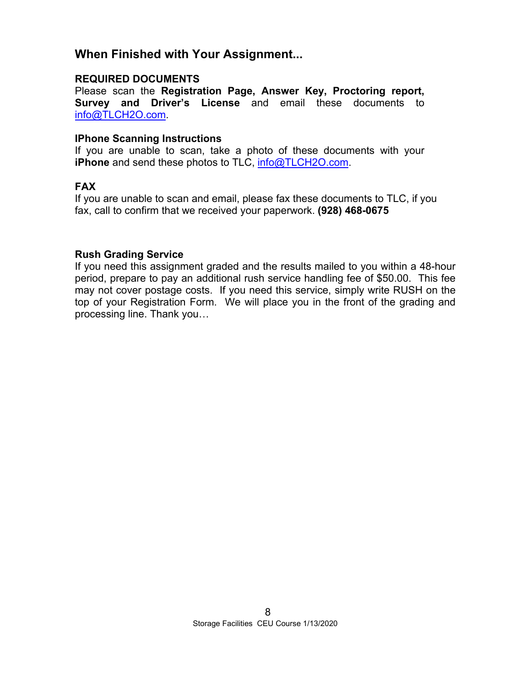# **When Finished with Your Assignment...**

# **REQUIRED DOCUMENTS**

Please scan the **Registration Page, Answer Key, Proctoring report, Survey and Driver's License** and email these documents to [info@TLCH2O.com.](mailto:info@TLCH2O.com) 

# **IPhone Scanning Instructions**

If you are unable to scan, take a photo of these documents with your **iPhone** and send these photos to TLC, info@TLCH2O.com.

# **FAX**

If you are unable to scan and email, please fax these documents to TLC, if you fax, call to confirm that we received your paperwork. **(928) 468-0675** 

# **Rush Grading Service**

If you need this assignment graded and the results mailed to you within a 48-hour period, prepare to pay an additional rush service handling fee of \$50.00. This fee may not cover postage costs. If you need this service, simply write RUSH on the top of your Registration Form. We will place you in the front of the grading and processing line. Thank you…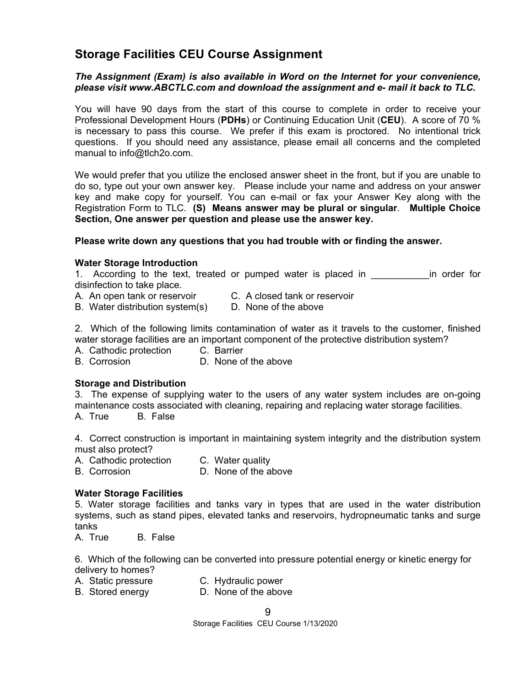# **Storage Facilities CEU Course Assignment**

#### *The Assignment (Exam) is also available in Word on the Internet for your convenience, please visit [www.ABCTLC.com an](http://www.ABCTLC.com)d download the assignment and e- mail it back to TLC.*

You will have 90 days from the start of this course to complete in order to receive your Professional Development Hours (**PDHs**) or Continuing Education Unit (**CEU**). A score of 70 % is necessary to pass this course. We prefer if this exam is proctored. No intentional trick questions. If you should need any assistance, please email all concerns and the completed manual to [info@tlch2o.com.](mailto:info@tlch2o.com) 

We would prefer that you utilize the enclosed answer sheet in the front, but if you are unable to do so, type out your own answer key. Please include your name and address on your answer key and make copy for yourself. You can e-mail or fax your Answer Key along with the Registration Form to TLC. **(S) Means answer may be plural or singular**. **Multiple Choice Section, One answer per question and please use the answer key.**

#### **Please write down any questions that you had trouble with or finding the answer.**

#### **Water Storage Introduction**

1. According to the text, treated or pumped water is placed in Theorem in order for disinfection to take place.

- A.An open tank or reservoir C. A closed tank or reservoir
- B. Water distribution system(s) D. None of the above

2. Which of the following limits contamination of water as it travels to the customer, finished water storage facilities are an important component of the protective distribution system?

A. Cathodic protection C. Barrier

B. Corrosion D. None of the above

#### **Storage and Distribution**

3. The expense of supplying water to the users of any water system includes are on-going maintenance costs associated with cleaning, repairing and replacing water storage facilities. A.True B. False

4. Correct construction is important in maintaining system integrity and the distribution system must also protect?

- A. Cathodic protection C. Water quality
- B. Corrosion **D. None of the above**

#### **Water Storage Facilities**

5. Water storage facilities and tanks vary in types that are used in the water distribution systems, such as stand pipes, elevated tanks and reservoirs, hydropneumatic tanks and surge tanks

A.True B. False

6. Which of the following can be converted into pressure potential energy or kinetic energy for delivery to homes?

- A. Static pressure C. Hydraulic power
- B. Stored energy D. None of the above

9

Storage Facilities CEU Course 1/13/2020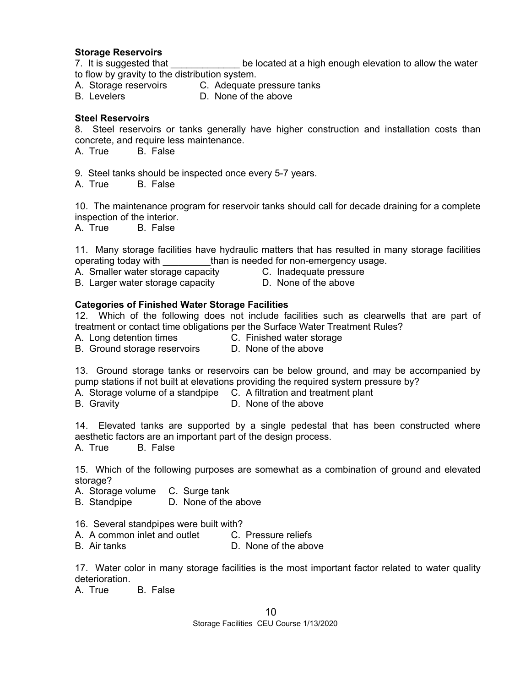#### **Storage Reservoirs**

7. It is suggested that **be located at a high enough elevation to allow the water** to flow by gravity to the distribution system.

- A. Storage reservoirs C. Adequate pressure tanks<br>B. Levelers **C. None of the above**
- D. None of the above

### **Steel Reservoirs**

8. Steel reservoirs or tanks generally have higher construction and installation costs than concrete, and require less maintenance.

A. True B. False

9. Steel tanks should be inspected once every 5-7 years.

A. True B. False

10. The maintenance program for reservoir tanks should call for decade draining for a complete inspection of the interior.

A. True B. False

11. Many storage facilities have hydraulic matters that has resulted in many storage facilities operating today with **than is needed for non-emergency usage.** 

- A.Smaller water storage capacity C. Inadequate pressure
	-
- B. Larger water storage capacity **D.** None of the above
- 

#### **Categories of Finished Water Storage Facilities**

12. Which of the following does not include facilities such as clearwells that are part of treatment or contact time obligations per the Surface Water Treatment Rules?

A. Long detention times C. Finished water storage

B. Ground storage reservoirs D. None of the above

13. Ground storage tanks or reservoirs can be below ground, and may be accompanied by pump stations if not built at elevations providing the required system pressure by?

A. Storage volume of a standpipe C. A filtration and treatment plant

B. Gravity **D. None of the above** 

14. Elevated tanks are supported by a single pedestal that has been constructed where aesthetic factors are an important part of the design process.

A. True B. False

15. Which of the following purposes are somewhat as a combination of ground and elevated storage?

A. Storage volume C. Surge tank

B. Standpipe D. None of the above

- 16. Several standpipes were built with?
- A. A common inlet and outlet C. Pressure reliefs
- B. Air tanks **D. None of the above**

17. Water color in many storage facilities is the most important factor related to water quality deterioration.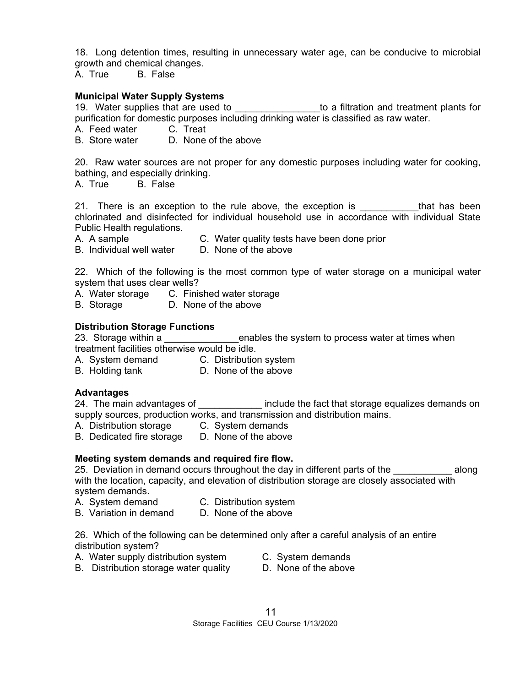18. Long detention times, resulting in unnecessary water age, can be conducive to microbial growth and chemical changes.

A. True B. False

# **Municipal Water Supply Systems**

manicipal trater supply systems<br>19. Water supplies that are used to \_\_\_\_\_\_\_\_\_\_\_\_\_\_\_\_\_to a filtration and treatment plants for purification for domestic purposes including drinking water is classified as raw water.

A. Feed water C. Treat

B. Store water D. None of the above

20. Raw water sources are not proper for any domestic purposes including water for cooking, bathing, and especially drinking.

A. True B. False

21. There is an exception to the rule above, the exception is that has been chlorinated and disinfected for individual household use in accordance with individual State Public Health regulations.

- A. A sample C. Water quality tests have been done prior
- B. Individual well water D. None of the above

22. Which of the following is the most common type of water storage on a municipal water system that uses clear wells?

- A. Water storage C. Finished water storage
- B. Storage **D. None of the above**

#### **Distribution Storage Functions**

23. Storage within a **Exercice 1 and Struth a** enables the system to process water at times when treatment facilities otherwise would be idle.

- A. System demand C. Distribution system
- B. Holding tank D. None of the above

# **Advantages**

24. The main advantages of **Exercise 1** include the fact that storage equalizes demands on supply sources, production works, and transmission and distribution mains.

- A. Distribution storage C. System demands
- B. Dedicated fire storage D. None of the above

# **Meeting system demands and required fire flow.**

25. Deviation in demand occurs throughout the day in different parts of the **Example 20** along with the location, capacity, and elevation of distribution storage are closely associated with system demands.

- A. System demand C. Distribution system
- B. Variation in demand D. None of the above

26. Which of the following can be determined only after a careful analysis of an entire distribution system?

- A. Water supply distribution system C. System demands
	-
- B. Distribution storage water quality **D. None of the above**
- - 11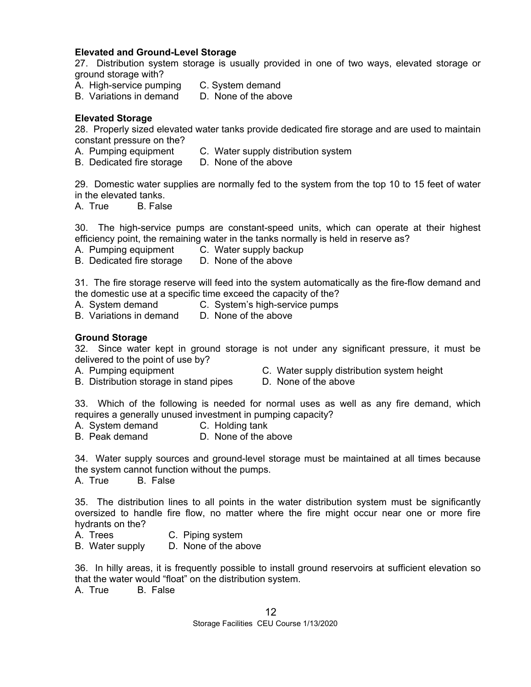# **Elevated and Ground-Level Storage**

27. Distribution system storage is usually provided in one of two ways, elevated storage or ground storage with?

- A. High-service pumping C. System demand
- B. Variations in demand D. None of the above

### **Elevated Storage**

28. Properly sized elevated water tanks provide dedicated fire storage and are used to maintain constant pressure on the?

- A. Pumping equipment C. Water supply distribution system
- B. Dedicated fire storage D. None of the above

29. Domestic water supplies are normally fed to the system from the top 10 to 15 feet of water in the elevated tanks.

A. True B. False

30. The high-service pumps are constant-speed units, which can operate at their highest efficiency point, the remaining water in the tanks normally is held in reserve as?

- A. Pumping equipment C. Water supply backup
- B. Dedicated fire storage D. None of the above

31. The fire storage reserve will feed into the system automatically as the fire-flow demand and the domestic use at a specific time exceed the capacity of the?

- A. System demand C. System's high-service pumps
- B. Variations in demand D. None of the above

#### **Ground Storage**

32. Since water kept in ground storage is not under any significant pressure, it must be delivered to the point of use by?

- 
- A. Pumping equipment C. Water supply distribution system height
- B. Distribution storage in stand pipes D. None of the above
- 

33. Which of the following is needed for normal uses as well as any fire demand, which requires a generally unused investment in pumping capacity?

- A. System demand C. Holding tank
- B. Peak demand D. None of the above

34. Water supply sources and ground-level storage must be maintained at all times because the system cannot function without the pumps.

A. True B. False

35. The distribution lines to all points in the water distribution system must be significantly oversized to handle fire flow, no matter where the fire might occur near one or more fire hydrants on the?

- A. Trees C. Piping system
- B. Water supply D. None of the above

36. In hilly areas, it is frequently possible to install ground reservoirs at sufficient elevation so that the water would "float" on the distribution system.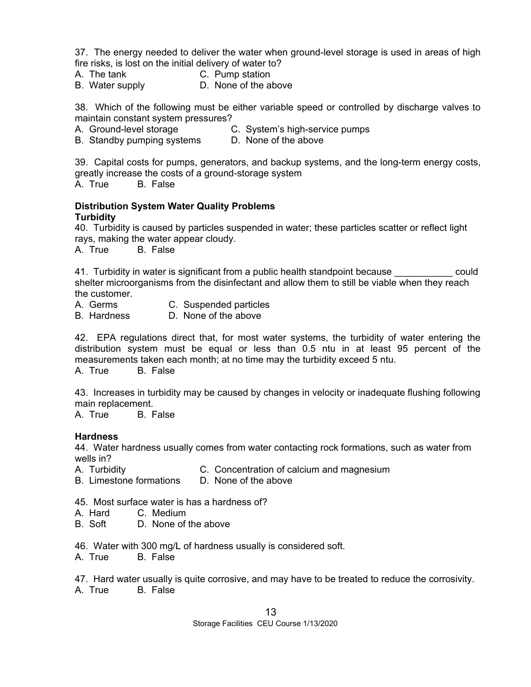37. The energy needed to deliver the water when ground-level storage is used in areas of high fire risks, is lost on the initial delivery of water to?

- A. The tank C. Pump station
- B. Water supply D. None of the above

38. Which of the following must be either variable speed or controlled by discharge valves to maintain constant system pressures?

A. Ground-level storage C. System's high-service pumps

B. Standby pumping systems D. None of the above

39. Capital costs for pumps, generators, and backup systems, and the long-term energy costs, greatly increase the costs of a ground-storage system

A. True B. False

### **Distribution System Water Quality Problems Turbidity**

40. Turbidity is caused by particles suspended in water; these particles scatter or reflect light rays, making the water appear cloudy.

A. True B. False

41. Turbidity in water is significant from a public health standpoint because **could** shelter microorganisms from the disinfectant and allow them to still be viable when they reach the customer.

- A. Germs C. Suspended particles<br>B. Hardness D. None of the above
- D. None of the above

42. EPA regulations direct that, for most water systems, the turbidity of water entering the distribution system must be equal or less than 0.5 ntu in at least 95 percent of the measurements taken each month; at no time may the turbidity exceed 5 ntu.

A. True B. False

43. Increases in turbidity may be caused by changes in velocity or inadequate flushing following main replacement.

A. True B. False

# **Hardness**

44. Water hardness usually comes from water contacting rock formations, such as water from wells in?

- A. Turbidity C. Concentration of calcium and magnesium
- B. Limestone formations D. None of the above
- 45. Most surface water is has a hardness of?
- A. Hard C. Medium
- B. Soft D. None of the above
- 46. Water with 300 mg/L of hardness usually is considered soft.
- A. True B. False

47. Hard water usually is quite corrosive, and may have to be treated to reduce the corrosivity. A. True B. False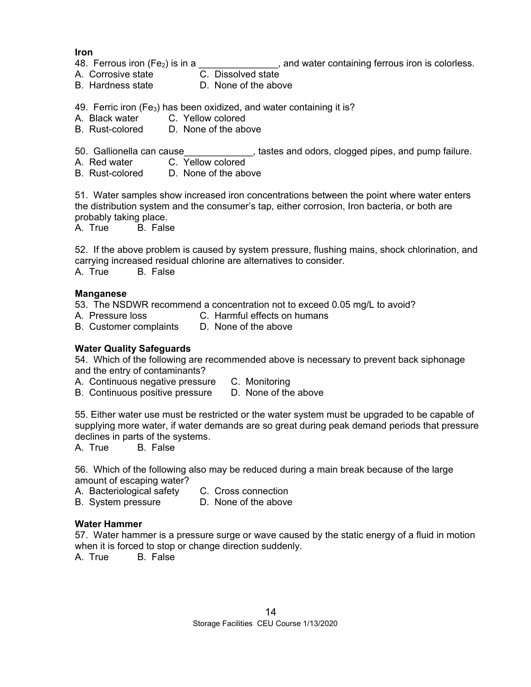**Iron** 

- 48. Ferrous iron  $(Fe_2)$  is in a \_\_\_\_\_\_\_\_\_\_\_\_\_\_\_, and water containing ferrous iron is colorless.
- A. Corrosive state **C. Dissolved state**
- B. Hardness state D. None of the above

49. Ferric iron  $(Fe<sub>3</sub>)$  has been oxidized, and water containing it is?

- A. Black water C. Yellow colored
- B. Rust-colored D. None of the above

50. Gallionella can cause \_\_\_\_\_\_\_\_\_\_\_\_\_, tastes and odors, clogged pipes, and pump failure.

- A. Red water C. Yellow colored
- B. Rust-colored D. None of the above

51. Water samples show increased iron concentrations between the point where water enters the distribution system and the consumer's tap, either corrosion, Iron bacteria, or both are probably taking place.

A. True B. False

52. If the above problem is caused by system pressure, flushing mains, shock chlorination, and carrying increased residual chlorine are alternatives to consider.

A. True B. False

#### **Manganese**

53. The NSDWR recommend a concentration not to exceed 0.05 mg/L to avoid?

- A. Pressure loss C. Harmful effects on humans
- B. Customer complaints D. None of the above

### **Water Quality Safeguards**

54. Which of the following are recommended above is necessary to prevent back siphonage and the entry of contaminants?

A. Continuous negative pressure C. Monitoring

B. Continuous positive pressure D. None of the above

55. Either water use must be restricted or the water system must be upgraded to be capable of supplying more water, if water demands are so great during peak demand periods that pressure declines in parts of the systems.

A. True B. False

56. Which of the following also may be reduced during a main break because of the large amount of escaping water?

- A. Bacteriological safety C. Cross connection
- B. System pressure D. None of the above

#### **Water Hammer**

57. Water hammer is a pressure surge or wave caused by the static energy of a fluid in motion when it is forced to stop or change direction suddenly.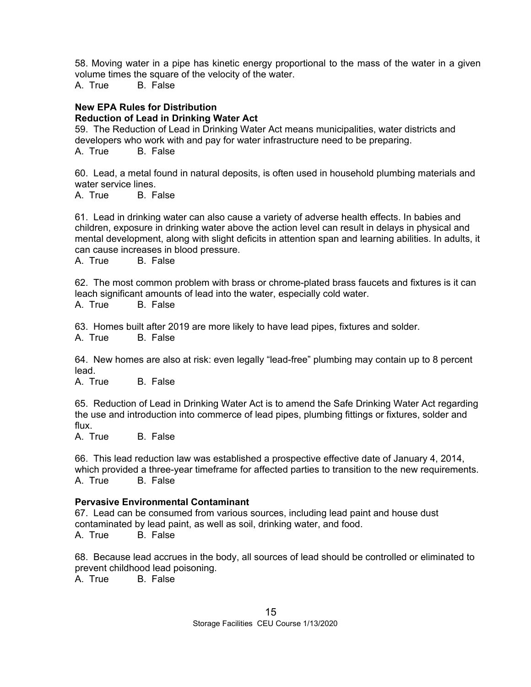58. Moving water in a pipe has kinetic energy proportional to the mass of the water in a given volume times the square of the velocity of the water.

A. True B. False

#### **New EPA Rules for Distribution Reduction of Lead in Drinking Water Act**

59. The Reduction of Lead in Drinking Water Act means municipalities, water districts and developers who work with and pay for water infrastructure need to be preparing. A. True B. False

60. Lead, a metal found in natural deposits, is often used in household plumbing materials and water service lines.

A. True B. False

61. Lead in drinking water can also cause a variety of adverse health effects. In babies and children, exposure in drinking water above the action level can result in delays in physical and mental development, along with slight deficits in attention span and learning abilities. In adults, it can cause increases in blood pressure.

A. True B. False

62. The most common problem with brass or chrome-plated brass faucets and fixtures is it can leach significant amounts of lead into the water, especially cold water.

A. True B. False

63. Homes built after 2019 are more likely to have lead pipes, fixtures and solder.

A. True B. False

64. New homes are also at risk: even legally "lead-free" plumbing may contain up to 8 percent lead.

A. True B. False

65. Reduction of Lead in Drinking Water Act is to amend the Safe Drinking Water Act regarding the use and introduction into commerce of lead pipes, plumbing fittings or fixtures, solder and flux.

A. True B. False

66. This lead reduction law was established a prospective effective date of January 4, 2014, which provided a three-year timeframe for affected parties to transition to the new requirements. A. True B. False

# **Pervasive Environmental Contaminant**

67. Lead can be consumed from various sources, including lead paint and house dust contaminated by lead paint, as well as soil, drinking water, and food. A. True B. False

68. Because lead accrues in the body, all sources of lead should be controlled or eliminated to prevent childhood lead poisoning.<br>A. True B. False

**B.** False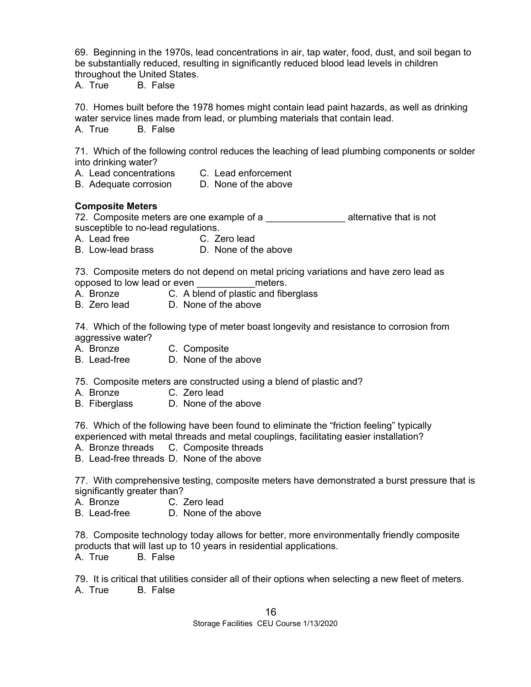69. Beginning in the 1970s, lead concentrations in air, tap water, food, dust, and soil began to be substantially reduced, resulting in significantly reduced blood lead levels in children throughout the United States.

A. True B. False

70. Homes built before the 1978 homes might contain lead paint hazards, as well as drinking water service lines made from lead, or plumbing materials that contain lead. A. True B. False

71. Which of the following control reduces the leaching of lead plumbing components or solder into drinking water?

- A. Lead concentrations C. Lead enforcement
- B. Adequate corrosion D. None of the above

# **Composite Meters**

72. Composite meters are one example of a \_\_\_\_\_\_\_\_\_\_\_\_\_\_\_\_\_\_\_\_ alternative that is not susceptible to no-lead regulations.

A. Lead free C. Zero lead

B. Low-lead brass D. None of the above

73. Composite meters do not depend on metal pricing variations and have zero lead as opposed to low lead or even \_\_\_\_\_\_\_\_\_\_\_meters.

- A. Bronze C. A blend of plastic and fiberglass
- B. Zero lead D. None of the above

74. Which of the following type of meter boast longevity and resistance to corrosion from aggressive water?

A. Bronze C. Composite

B. Lead-free D. None of the above

75. Composite meters are constructed using a blend of plastic and?

- A. Bronze C. Zero lead
- B. Fiberglass D. None of the above

76. Which of the following have been found to eliminate the "friction feeling" typically experienced with metal threads and metal couplings, facilitating easier installation?

A. Bronze threads C. Composite threads

B. Lead-free threads D. None of the above

77. With comprehensive testing, composite meters have demonstrated a burst pressure that is significantly greater than?

A. Bronze C. Zero lead

B. Lead-free D. None of the above

78. Composite technology today allows for better, more environmentally friendly composite products that will last up to 10 years in residential applications. A. True B. False

79. It is critical that utilities consider all of their options when selecting a new fleet of meters. A. True B. False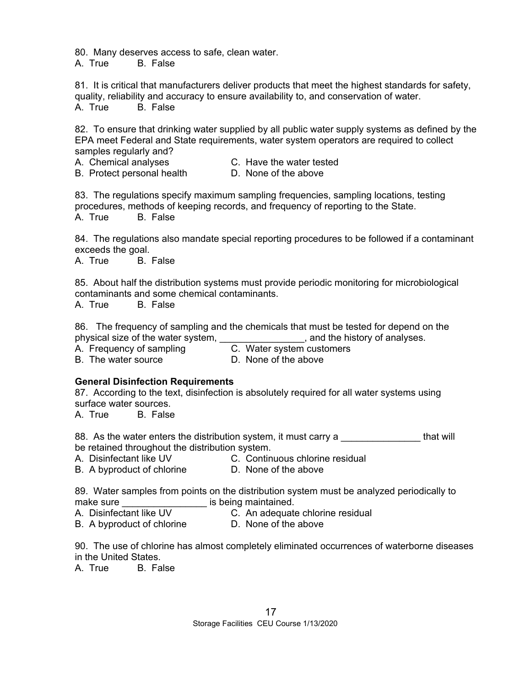80. Many deserves access to safe, clean water.

A. True B. False

81. It is critical that manufacturers deliver products that meet the highest standards for safety, quality, reliability and accuracy to ensure availability to, and conservation of water. A. True B. False

82. To ensure that drinking water supplied by all public water supply systems as defined by the EPA meet Federal and State requirements, water system operators are required to collect

- samples regularly and?<br>A. Chemical analyses
- C. Have the water tested

B. Protect personal health D. None of the above

83. The regulations specify maximum sampling frequencies, sampling locations, testing procedures, methods of keeping records, and frequency of reporting to the State. A. True B. False

84. The regulations also mandate special reporting procedures to be followed if a contaminant exceeds the goal.

A. True B. False

85. About half the distribution systems must provide periodic monitoring for microbiological contaminants and some chemical contaminants.

A. True B. False

86. The frequency of sampling and the chemicals that must be tested for depend on the physical size of the water system,  $\qquad \qquad$ , and the history of analyses.

A. Frequency of sampling C. Water system customers

B. The water source **D.** None of the above

# **General Disinfection Requirements**

87. According to the text, disinfection is absolutely required for all water systems using surface water sources.

A. True B. False

88. As the water enters the distribution system, it must carry a **Example 20** that will be retained throughout the distribution system.

- A. Disinfectant like UV C. Continuous chlorine residual
	-

B. A byproduct of chlorine D. None of the above

89. Water samples from points on the distribution system must be analyzed periodically to make sure **the sure is being maintained.** 

- A. Disinfectant like UV C. An adequate chlorine residual
	-
- B. A byproduct of chlorine D. None of the above
- 

90. The use of chlorine has almost completely eliminated occurrences of waterborne diseases in the United States.